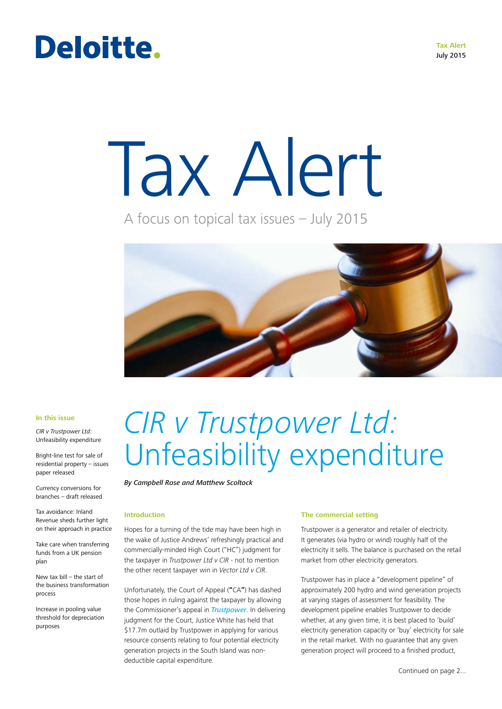# Deloitte.

**Tax Alert** July 2015

# Tax Alert

A focus on topical tax issues – July 2015



#### **In this issue**

*CIR v Trustpower Ltd:*  Unfeasibility expenditure

Bright-line test for sale of residential property – issues paper released

Currency conversions for branches – draft released

Tax avoidance: Inland Revenue sheds further light on their approach in practice

Take care when transferring funds from a UK pension plan

New tax bill – the start of the business transformation process

Increase in pooling value threshold for depreciation purposes

# *CIR v Trustpower Ltd:* Unfeasibility expenditure

#### *By Campbell Rose and Matthew Scoltock*

# **Introduction**

Hopes for a turning of the tide may have been high in the wake of Justice Andrews' refreshingly practical and commercially-minded High Court ("HC") judgment for the taxpayer in *Trustpower Ltd v CIR* - not to mention the other recent taxpayer win in *Vector Ltd v CIR*.

Unfortunately, the Court of Appeal (**"**CA**"**) has dashed those hopes in ruling against the taxpayer by allowing the Commissioner's appeal in *Trustpower*. In delivering judgment for the Court, Justice White has held that \$17.7m outlaid by Trustpower in applying for various resource consents relating to four potential electricity generation projects in the South Island was nondeductible capital expenditure.

# **The commercial setting**

Trustpower is a generator and retailer of electricity. It generates (via hydro or wind) roughly half of the electricity it sells. The balance is purchased on the retail market from other electricity generators.

Trustpower has in place a "development pipeline" of approximately 200 hydro and wind generation projects at varying stages of assessment for feasibility. The development pipeline enables Trustpower to decide whether, at any given time, it is best placed to 'build' electricity generation capacity or 'buy' electricity for sale in the retail market. With no guarantee that any given generation project will proceed to a finished product,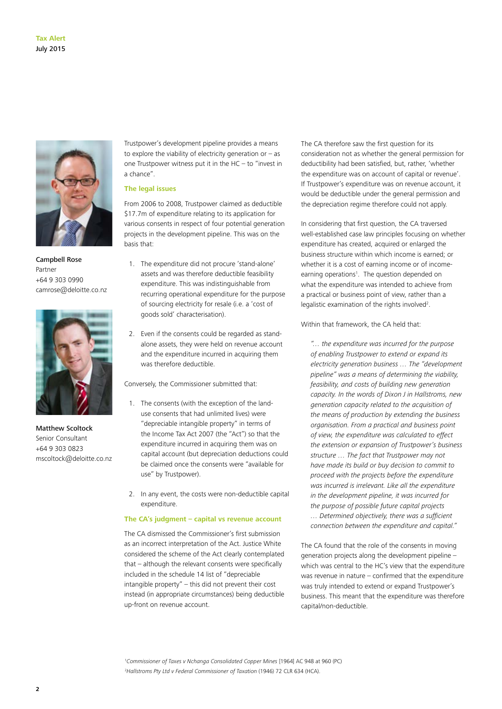

Campbell Rose Partner +64 9 303 0990 camrose@deloitte.co.nz



Matthew Scoltock Senior Consultant +64 9 303 0823 mscoltock@deloitte.co.nz

Trustpower's development pipeline provides a means to explore the viability of electricity generation or  $-$  as one Trustpower witness put it in the  $HC -$  to "invest in a chance".

### **The legal issues**

From 2006 to 2008, Trustpower claimed as deductible \$17.7m of expenditure relating to its application for various consents in respect of four potential generation projects in the development pipeline. This was on the basis that:

- 1. The expenditure did not procure 'stand-alone' assets and was therefore deductible feasibility expenditure. This was indistinguishable from recurring operational expenditure for the purpose of sourcing electricity for resale (i.e. a 'cost of goods sold' characterisation).
- 2. Even if the consents could be regarded as standalone assets, they were held on revenue account and the expenditure incurred in acquiring them was therefore deductible.

Conversely, the Commissioner submitted that:

- 1. The consents (with the exception of the landuse consents that had unlimited lives) were "depreciable intangible property" in terms of the Income Tax Act 2007 (the "Act") so that the expenditure incurred in acquiring them was on capital account (but depreciation deductions could be claimed once the consents were "available for use" by Trustpower).
- 2. In any event, the costs were non-deductible capital expenditure.

#### **The CA's judgment – capital vs revenue account**

The CA dismissed the Commissioner's first submission as an incorrect interpretation of the Act. Justice White considered the scheme of the Act clearly contemplated that – although the relevant consents were specifically included in the schedule 14 list of "depreciable intangible property" – this did not prevent their cost instead (in appropriate circumstances) being deductible up-front on revenue account.

The CA therefore saw the first question for its consideration not as whether the general permission for deductibility had been satisfied, but, rather, 'whether the expenditure was on account of capital or revenue'. If Trustpower's expenditure was on revenue account, it would be deductible under the general permission and the depreciation regime therefore could not apply.

In considering that first question, the CA traversed well-established case law principles focusing on whether expenditure has created, acquired or enlarged the business structure within which income is earned; or whether it is a cost of earning income or of incomeearning operations<sup>1</sup>. The question depended on what the expenditure was intended to achieve from a practical or business point of view, rather than a legalistic examination of the rights involved<sup>2</sup>.

Within that framework, the CA held that:

*"… the expenditure was incurred for the purpose of enabling Trustpower to extend or expand its electricity generation business … The "development pipeline" was a means of determining the viability, feasibility, and costs of building new generation capacity. In the words of Dixon J in Hallstroms, new generation capacity related to the acquisition of the means of production by extending the business organisation. From a practical and business point of view, the expenditure was calculated to effect the extension or expansion of Trustpower's business structure … The fact that Trustpower may not have made its build or buy decision to commit to proceed with the projects before the expenditure was incurred is irrelevant. Like all the expenditure in the development pipeline, it was incurred for the purpose of possible future capital projects … Determined objectively, there was a sufficient connection between the expenditure and capital."*

The CA found that the role of the consents in moving generation projects along the development pipeline – which was central to the HC's view that the expenditure was revenue in nature – confirmed that the expenditure was truly intended to extend or expand Trustpower's business. This meant that the expenditure was therefore capital/non-deductible.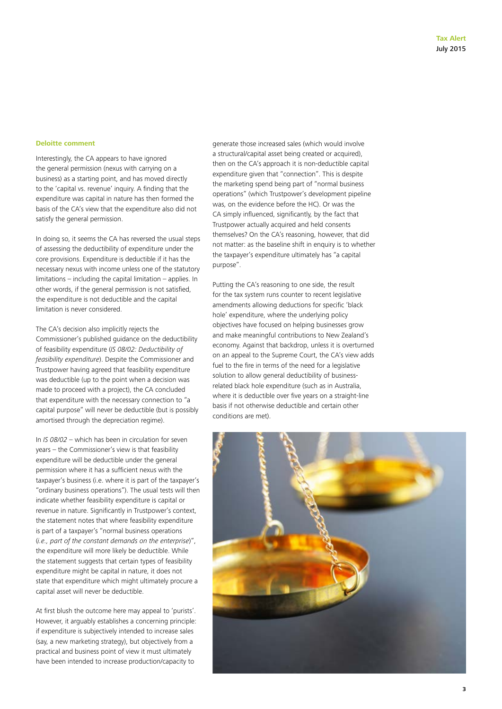#### **Deloitte comment**

Interestingly, the CA appears to have ignored the general permission (nexus with carrying on a business) as a starting point, and has moved directly to the 'capital vs. revenue' inquiry. A finding that the expenditure was capital in nature has then formed the basis of the CA's view that the expenditure also did not satisfy the general permission.

In doing so, it seems the CA has reversed the usual steps of assessing the deductibility of expenditure under the core provisions. Expenditure is deductible if it has the necessary nexus with income unless one of the statutory limitations – including the capital limitation – applies. In other words, if the general permission is not satisfied, the expenditure is not deductible and the capital limitation is never considered.

The CA's decision also implicitly rejects the Commissioner's published guidance on the deductibility of feasibility expenditure (*IS 08/02: Deductibility of feasibility expenditure*). Despite the Commissioner and Trustpower having agreed that feasibility expenditure was deductible (up to the point when a decision was made to proceed with a project), the CA concluded that expenditure with the necessary connection to "a capital purpose" will never be deductible (but is possibly amortised through the depreciation regime).

In *IS 08/02* – which has been in circulation for seven years – the Commissioner's view is that feasibility expenditure will be deductible under the general permission where it has a sufficient nexus with the taxpayer's business (i.e. where it is part of the taxpayer's "ordinary business operations"). The usual tests will then indicate whether feasibility expenditure is capital or revenue in nature. Significantly in Trustpower's context, the statement notes that where feasibility expenditure is part of a taxpayer's "normal business operations (*i.e., part of the constant demands on the enterprise*)", the expenditure will more likely be deductible. While the statement suggests that certain types of feasibility expenditure might be capital in nature, it does not state that expenditure which might ultimately procure a capital asset will never be deductible.

At first blush the outcome here may appeal to 'purists'. However, it arguably establishes a concerning principle: if expenditure is subjectively intended to increase sales (say, a new marketing strategy), but objectively from a practical and business point of view it must ultimately have been intended to increase production/capacity to

generate those increased sales (which would involve a structural/capital asset being created or acquired), then on the CA's approach it is non-deductible capital expenditure given that "connection". This is despite the marketing spend being part of "normal business operations" (which Trustpower's development pipeline was, on the evidence before the HC). Or was the CA simply influenced, significantly, by the fact that Trustpower actually acquired and held consents themselves? On the CA's reasoning, however, that did not matter: as the baseline shift in enquiry is to whether the taxpayer's expenditure ultimately has "a capital purpose".

Putting the CA's reasoning to one side, the result for the tax system runs counter to recent legislative amendments allowing deductions for specific 'black hole' expenditure, where the underlying policy objectives have focused on helping businesses grow and make meaningful contributions to New Zealand's economy. Against that backdrop, unless it is overturned on an appeal to the Supreme Court, the CA's view adds fuel to the fire in terms of the need for a legislative solution to allow general deductibility of businessrelated black hole expenditure (such as in Australia, where it is deductible over five years on a straight-line basis if not otherwise deductible and certain other conditions are met).

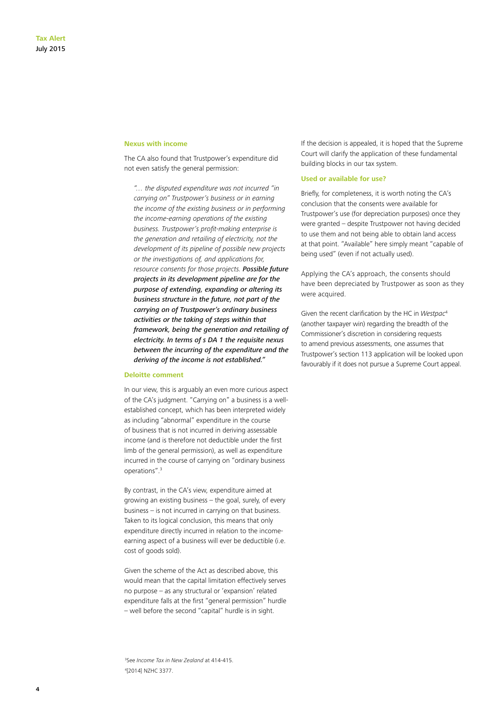### **Nexus with income**

The CA also found that Trustpower's expenditure did not even satisfy the general permission:

*"… the disputed expenditure was not incurred "in carrying on" Trustpower's business or in earning the income of the existing business or in performing the income-earning operations of the existing business. Trustpower's profit-making enterprise is the generation and retailing of electricity, not the development of its pipeline of possible new projects or the investigations of, and applications for, resource consents for those projects. Possible future projects in its development pipeline are for the purpose of extending, expanding or altering its business structure in the future, not part of the carrying on of Trustpower's ordinary business activities or the taking of steps within that framework, being the generation and retailing of electricity. In terms of s DA 1 the requisite nexus between the incurring of the expenditure and the deriving of the income is not established."*

#### **Deloitte comment**

In our view, this is arguably an even more curious aspect of the CA's judgment. "Carrying on" a business is a wellestablished concept, which has been interpreted widely as including "abnormal" expenditure in the course of business that is not incurred in deriving assessable income (and is therefore not deductible under the first limb of the general permission), as well as expenditure incurred in the course of carrying on "ordinary business operations".3

By contrast, in the CA's view, expenditure aimed at growing an existing business – the goal, surely, of every business – is not incurred in carrying on that business. Taken to its logical conclusion, this means that only expenditure directly incurred in relation to the incomeearning aspect of a business will ever be deductible (i.e. cost of goods sold).

Given the scheme of the Act as described above, this would mean that the capital limitation effectively serves no purpose – as any structural or 'expansion' related expenditure falls at the first "general permission" hurdle – well before the second "capital" hurdle is in sight.

If the decision is appealed, it is hoped that the Supreme Court will clarify the application of these fundamental building blocks in our tax system.

### **Used or available for use?**

Briefly, for completeness, it is worth noting the CA's conclusion that the consents were available for Trustpower's use (for depreciation purposes) once they were granted – despite Trustpower not having decided to use them and not being able to obtain land access at that point. "Available" here simply meant "capable of being used" (even if not actually used).

Applying the CA's approach, the consents should have been depreciated by Trustpower as soon as they were acquired.

Given the recent clarification by the HC in *Westpac*<sup>4</sup> (another taxpayer win) regarding the breadth of the Commissioner's discretion in considering requests to amend previous assessments, one assumes that Trustpower's section 113 application will be looked upon favourably if it does not pursue a Supreme Court appeal.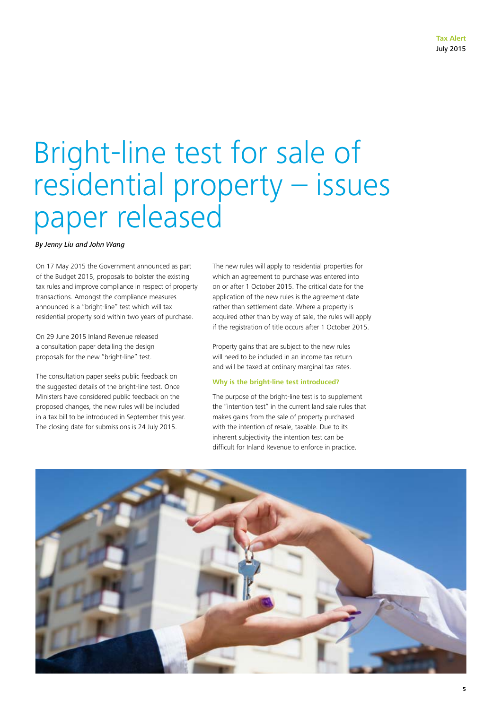# Bright-line test for sale of residential property – issues paper released

*By Jenny Liu and John Wang*

On 17 May 2015 the Government announced as part of the Budget 2015, proposals to bolster the existing tax rules and improve compliance in respect of property transactions. Amongst the compliance measures announced is a "bright-line" test which will tax residential property sold within two years of purchase.

On 29 June 2015 Inland Revenue released a consultation paper detailing the design proposals for the new "bright-line" test.

The consultation paper seeks public feedback on the suggested details of the bright-line test. Once Ministers have considered public feedback on the proposed changes, the new rules will be included in a tax bill to be introduced in September this year. The closing date for submissions is 24 July 2015.

The new rules will apply to residential properties for which an agreement to purchase was entered into on or after 1 October 2015. The critical date for the application of the new rules is the agreement date rather than settlement date. Where a property is acquired other than by way of sale, the rules will apply if the registration of title occurs after 1 October 2015.

Property gains that are subject to the new rules will need to be included in an income tax return and will be taxed at ordinary marginal tax rates.

# **Why is the bright-line test introduced?**

The purpose of the bright-line test is to supplement the "intention test" in the current land sale rules that makes gains from the sale of property purchased with the intention of resale, taxable. Due to its inherent subjectivity the intention test can be difficult for Inland Revenue to enforce in practice.

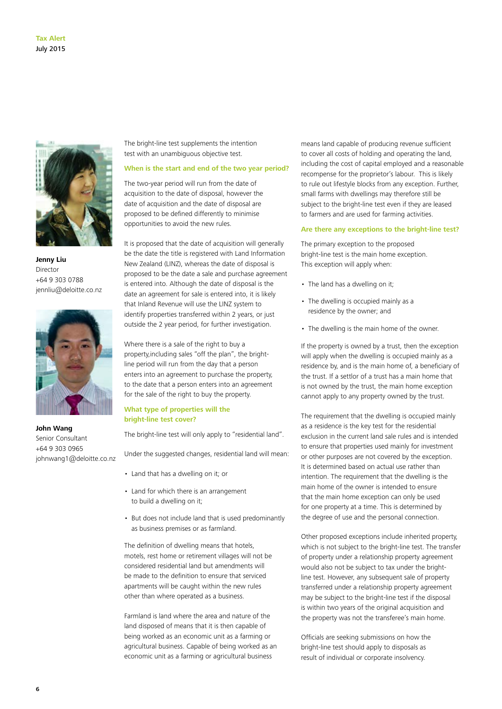

**Jenny Liu** Director +64 9 303 0788 jennliu@deloitte.co.nz



**John Wang** Senior Consultant +64 9 303 0965 johnwang1@deloitte.co.nz

The bright-line test supplements the intention test with an unambiguous objective test.

### **When is the start and end of the two year period?**

The two-year period will run from the date of acquisition to the date of disposal, however the date of acquisition and the date of disposal are proposed to be defined differently to minimise opportunities to avoid the new rules.

It is proposed that the date of acquisition will generally be the date the title is registered with Land Information New Zealand (LINZ), whereas the date of disposal is proposed to be the date a sale and purchase agreement is entered into. Although the date of disposal is the date an agreement for sale is entered into, it is likely that Inland Revenue will use the LINZ system to identify properties transferred within 2 years, or just outside the 2 year period, for further investigation.

Where there is a sale of the right to buy a property,including sales "off the plan", the brightline period will run from the day that a person enters into an agreement to purchase the property, to the date that a person enters into an agreement for the sale of the right to buy the property.

# **What type of properties will the bright-line test cover?**

The bright-line test will only apply to "residential land".

Under the suggested changes, residential land will mean:

- Land that has a dwelling on it; or
- Land for which there is an arrangement to build a dwelling on it;
- But does not include land that is used predominantly as business premises or as farmland.

The definition of dwelling means that hotels, motels, rest home or retirement villages will not be considered residential land but amendments will be made to the definition to ensure that serviced apartments will be caught within the new rules other than where operated as a business.

Farmland is land where the area and nature of the land disposed of means that it is then capable of being worked as an economic unit as a farming or agricultural business. Capable of being worked as an economic unit as a farming or agricultural business

means land capable of producing revenue sufficient to cover all costs of holding and operating the land, including the cost of capital employed and a reasonable recompense for the proprietor's labour. This is likely to rule out lifestyle blocks from any exception. Further, small farms with dwellings may therefore still be subject to the bright-line test even if they are leased to farmers and are used for farming activities.

#### **Are there any exceptions to the bright-line test?**

The primary exception to the proposed bright-line test is the main home exception. This exception will apply when:

- The land has a dwelling on it;
- The dwelling is occupied mainly as a residence by the owner; and
- The dwelling is the main home of the owner.

If the property is owned by a trust, then the exception will apply when the dwelling is occupied mainly as a residence by, and is the main home of, a beneficiary of the trust. If a settlor of a trust has a main home that is not owned by the trust, the main home exception cannot apply to any property owned by the trust.

The requirement that the dwelling is occupied mainly as a residence is the key test for the residential exclusion in the current land sale rules and is intended to ensure that properties used mainly for investment or other purposes are not covered by the exception. It is determined based on actual use rather than intention. The requirement that the dwelling is the main home of the owner is intended to ensure that the main home exception can only be used for one property at a time. This is determined by the degree of use and the personal connection.

Other proposed exceptions include inherited property, which is not subject to the bright-line test. The transfer of property under a relationship property agreement would also not be subject to tax under the brightline test. However, any subsequent sale of property transferred under a relationship property agreement may be subject to the bright-line test if the disposal is within two years of the original acquisition and the property was not the transferee's main home.

Officials are seeking submissions on how the bright-line test should apply to disposals as result of individual or corporate insolvency.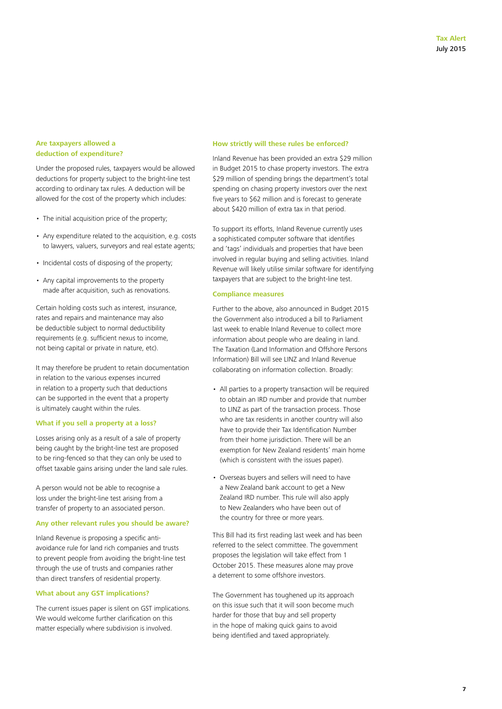# **Are taxpayers allowed a deduction of expenditure?**

Under the proposed rules, taxpayers would be allowed deductions for property subject to the bright-line test according to ordinary tax rules. A deduction will be allowed for the cost of the property which includes:

- The initial acquisition price of the property;
- Any expenditure related to the acquisition, e.g. costs to lawyers, valuers, surveyors and real estate agents;
- Incidental costs of disposing of the property;
- Any capital improvements to the property made after acquisition, such as renovations.

Certain holding costs such as interest, insurance, rates and repairs and maintenance may also be deductible subject to normal deductibility requirements (e.g. sufficient nexus to income, not being capital or private in nature, etc).

It may therefore be prudent to retain documentation in relation to the various expenses incurred in relation to a property such that deductions can be supported in the event that a property is ultimately caught within the rules.

# **What if you sell a property at a loss?**

Losses arising only as a result of a sale of property being caught by the bright-line test are proposed to be ring-fenced so that they can only be used to offset taxable gains arising under the land sale rules.

A person would not be able to recognise a loss under the bright-line test arising from a transfer of property to an associated person.

# **Any other relevant rules you should be aware?**

Inland Revenue is proposing a specific antiavoidance rule for land rich companies and trusts to prevent people from avoiding the bright-line test through the use of trusts and companies rather than direct transfers of residential property.

# **What about any GST implications?**

The current issues paper is silent on GST implications. We would welcome further clarification on this matter especially where subdivision is involved.

### **How strictly will these rules be enforced?**

Inland Revenue has been provided an extra \$29 million in Budget 2015 to chase property investors. The extra \$29 million of spending brings the department's total spending on chasing property investors over the next five years to \$62 million and is forecast to generate about \$420 million of extra tax in that period.

To support its efforts, Inland Revenue currently uses a sophisticated computer software that identifies and 'tags' individuals and properties that have been involved in regular buying and selling activities. Inland Revenue will likely utilise similar software for identifying taxpayers that are subject to the bright-line test.

#### **Compliance measures**

Further to the above, also announced in Budget 2015 the Government also introduced a bill to Parliament last week to enable Inland Revenue to collect more information about people who are dealing in land. The Taxation (Land Information and Offshore Persons Information) Bill will see LINZ and Inland Revenue collaborating on information collection. Broadly:

- All parties to a property transaction will be required to obtain an IRD number and provide that number to LINZ as part of the transaction process. Those who are tax residents in another country will also have to provide their Tax Identification Number from their home jurisdiction. There will be an exemption for New Zealand residents' main home (which is consistent with the issues paper).
- Overseas buyers and sellers will need to have a New Zealand bank account to get a New Zealand IRD number. This rule will also apply to New Zealanders who have been out of the country for three or more years.

This Bill had its first reading last week and has been referred to the select committee. The government proposes the legislation will take effect from 1 October 2015. These measures alone may prove a deterrent to some offshore investors.

The Government has toughened up its approach on this issue such that it will soon become much harder for those that buy and sell property in the hope of making quick gains to avoid being identified and taxed appropriately.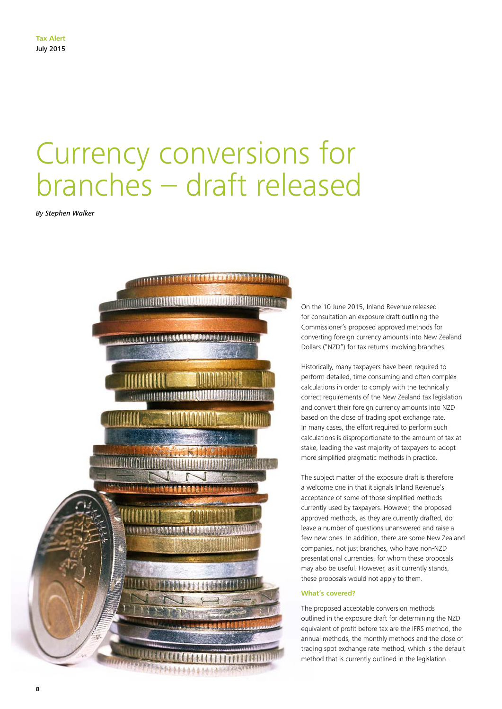# Currency conversions for branches – draft released

*By Stephen Walker*

**8**



On the 10 June 2015, Inland Revenue released for consultation an exposure draft outlining the Commissioner's proposed approved methods for converting foreign currency amounts into New Zealand Dollars ("NZD") for tax returns involving branches.

Historically, many taxpayers have been required to perform detailed, time consuming and often complex calculations in order to comply with the technically correct requirements of the New Zealand tax legislation and convert their foreign currency amounts into NZD based on the close of trading spot exchange rate. In many cases, the effort required to perform such calculations is disproportionate to the amount of tax at stake, leading the vast majority of taxpayers to adopt more simplified pragmatic methods in practice.

The subject matter of the exposure draft is therefore a welcome one in that it signals Inland Revenue's acceptance of some of those simplified methods currently used by taxpayers. However, the proposed approved methods, as they are currently drafted, do leave a number of questions unanswered and raise a few new ones. In addition, there are some New Zealand companies, not just branches, who have non-NZD presentational currencies, for whom these proposals may also be useful. However, as it currently stands, these proposals would not apply to them.

# **What's covered?**

The proposed acceptable conversion methods outlined in the exposure draft for determining the NZD equivalent of profit before tax are the IFRS method, the annual methods, the monthly methods and the close of trading spot exchange rate method, which is the default method that is currently outlined in the legislation.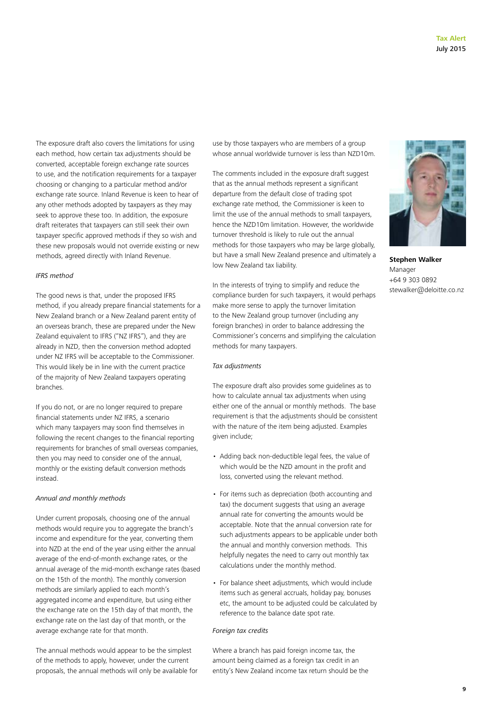The exposure draft also covers the limitations for using each method, how certain tax adjustments should be converted, acceptable foreign exchange rate sources to use, and the notification requirements for a taxpayer choosing or changing to a particular method and/or exchange rate source. Inland Revenue is keen to hear of any other methods adopted by taxpayers as they may seek to approve these too. In addition, the exposure draft reiterates that taxpayers can still seek their own taxpayer specific approved methods if they so wish and these new proposals would not override existing or new methods, agreed directly with Inland Revenue.

### *IFRS method*

The good news is that, under the proposed IFRS method, if you already prepare financial statements for a New Zealand branch or a New Zealand parent entity of an overseas branch, these are prepared under the New Zealand equivalent to IFRS ("NZ IFRS"), and they are already in NZD, then the conversion method adopted under NZ IFRS will be acceptable to the Commissioner. This would likely be in line with the current practice of the majority of New Zealand taxpayers operating branches.

If you do not, or are no longer required to prepare financial statements under NZ IFRS, a scenario which many taxpayers may soon find themselves in following the recent changes to the financial reporting requirements for branches of small overseas companies, then you may need to consider one of the annual, monthly or the existing default conversion methods instead.

#### *Annual and monthly methods*

Under current proposals, choosing one of the annual methods would require you to aggregate the branch's income and expenditure for the year, converting them into NZD at the end of the year using either the annual average of the end-of-month exchange rates, or the annual average of the mid-month exchange rates (based on the 15th of the month). The monthly conversion methods are similarly applied to each month's aggregated income and expenditure, but using either the exchange rate on the 15th day of that month, the exchange rate on the last day of that month, or the average exchange rate for that month.

The annual methods would appear to be the simplest of the methods to apply, however, under the current proposals, the annual methods will only be available for use by those taxpayers who are members of a group whose annual worldwide turnover is less than NZD10m.

The comments included in the exposure draft suggest that as the annual methods represent a significant departure from the default close of trading spot exchange rate method, the Commissioner is keen to limit the use of the annual methods to small taxpayers, hence the NZD10m limitation. However, the worldwide turnover threshold is likely to rule out the annual methods for those taxpayers who may be large globally, but have a small New Zealand presence and ultimately a low New Zealand tax liability.

In the interests of trying to simplify and reduce the compliance burden for such taxpayers, it would perhaps make more sense to apply the turnover limitation to the New Zealand group turnover (including any foreign branches) in order to balance addressing the Commissioner's concerns and simplifying the calculation methods for many taxpayers.

#### *Tax adjustments*

The exposure draft also provides some guidelines as to how to calculate annual tax adjustments when using either one of the annual or monthly methods. The base requirement is that the adjustments should be consistent with the nature of the item being adjusted. Examples given include;

- Adding back non-deductible legal fees, the value of which would be the NZD amount in the profit and loss, converted using the relevant method.
- For items such as depreciation (both accounting and tax) the document suggests that using an average annual rate for converting the amounts would be acceptable. Note that the annual conversion rate for such adjustments appears to be applicable under both the annual and monthly conversion methods. This helpfully negates the need to carry out monthly tax calculations under the monthly method.
- For balance sheet adjustments, which would include items such as general accruals, holiday pay, bonuses etc, the amount to be adjusted could be calculated by reference to the balance date spot rate.

# *Foreign tax credits*

Where a branch has paid foreign income tax, the amount being claimed as a foreign tax credit in an entity's New Zealand income tax return should be the



**Stephen Walker** Manager +64 9 303 0892 stewalker@deloitte.co.nz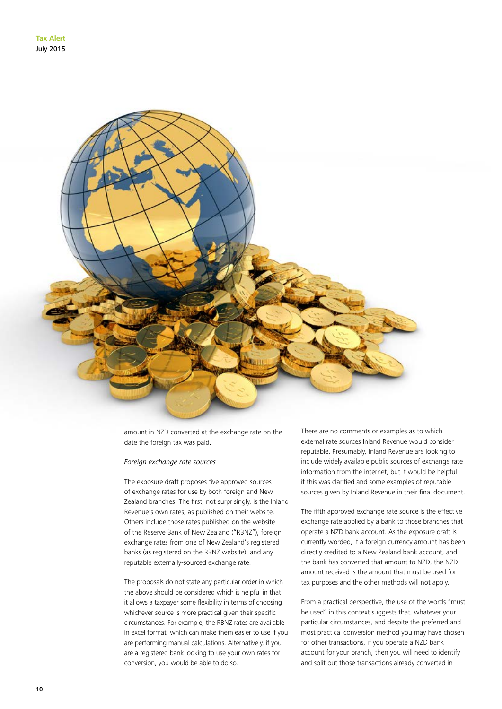

amount in NZD converted at the exchange rate on the date the foreign tax was paid.

#### *Foreign exchange rate sources*

The exposure draft proposes five approved sources of exchange rates for use by both foreign and New Zealand branches. The first, not surprisingly, is the Inland Revenue's own rates, as published on their website. Others include those rates published on the website of the Reserve Bank of New Zealand ("RBNZ"), foreign exchange rates from one of New Zealand's registered banks (as registered on the RBNZ website), and any reputable externally-sourced exchange rate.

The proposals do not state any particular order in which the above should be considered which is helpful in that it allows a taxpayer some flexibility in terms of choosing whichever source is more practical given their specific circumstances. For example, the RBNZ rates are available in excel format, which can make them easier to use if you are performing manual calculations. Alternatively, if you are a registered bank looking to use your own rates for conversion, you would be able to do so.

There are no comments or examples as to which external rate sources Inland Revenue would consider reputable. Presumably, Inland Revenue are looking to include widely available public sources of exchange rate information from the internet, but it would be helpful if this was clarified and some examples of reputable sources given by Inland Revenue in their final document.

The fifth approved exchange rate source is the effective exchange rate applied by a bank to those branches that operate a NZD bank account. As the exposure draft is currently worded, if a foreign currency amount has been directly credited to a New Zealand bank account, and the bank has converted that amount to NZD, the NZD amount received is the amount that must be used for tax purposes and the other methods will not apply.

From a practical perspective, the use of the words "must be used" in this context suggests that, whatever your particular circumstances, and despite the preferred and most practical conversion method you may have chosen for other transactions, if you operate a NZD bank account for your branch, then you will need to identify and split out those transactions already converted in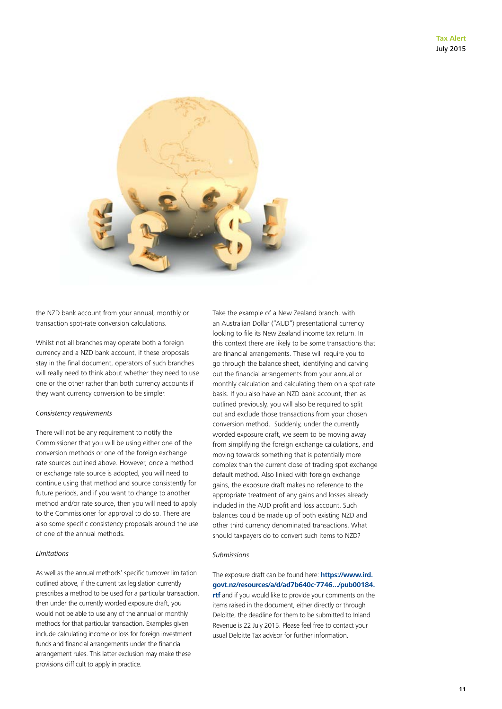

the NZD bank account from your annual, monthly or transaction spot-rate conversion calculations.

Whilst not all branches may operate both a foreign currency and a NZD bank account, if these proposals stay in the final document, operators of such branches will really need to think about whether they need to use one or the other rather than both currency accounts if they want currency conversion to be simpler.

#### *Consistency requirements*

There will not be any requirement to notify the Commissioner that you will be using either one of the conversion methods or one of the foreign exchange rate sources outlined above. However, once a method or exchange rate source is adopted, you will need to continue using that method and source consistently for future periods, and if you want to change to another method and/or rate source, then you will need to apply to the Commissioner for approval to do so. There are also some specific consistency proposals around the use of one of the annual methods.

### *Limitations*

As well as the annual methods' specific turnover limitation outlined above, if the current tax legislation currently prescribes a method to be used for a particular transaction, then under the currently worded exposure draft, you would not be able to use any of the annual or monthly methods for that particular transaction. Examples given include calculating income or loss for foreign investment funds and financial arrangements under the financial arrangement rules. This latter exclusion may make these provisions difficult to apply in practice.

Take the example of a New Zealand branch, with an Australian Dollar ("AUD") presentational currency looking to file its New Zealand income tax return. In this context there are likely to be some transactions that are financial arrangements. These will require you to go through the balance sheet, identifying and carving out the financial arrangements from your annual or monthly calculation and calculating them on a spot-rate basis. If you also have an NZD bank account, then as outlined previously, you will also be required to split out and exclude those transactions from your chosen conversion method. Suddenly, under the currently worded exposure draft, we seem to be moving away from simplifying the foreign exchange calculations, and moving towards something that is potentially more complex than the current close of trading spot exchange default method. Also linked with foreign exchange gains, the exposure draft makes no reference to the appropriate treatment of any gains and losses already included in the AUD profit and loss account. Such balances could be made up of both existing NZD and other third currency denominated transactions. What should taxpayers do to convert such items to NZD?

#### *Submissions*

The exposure draft can be found here: **[https://www.ird.](https://www.ird.govt.nz/resources/a/d/ad7b640c-7746.../pub00184.rtf) [govt.nz/resources/a/d/ad7b640c-7746.../pub00184.](https://www.ird.govt.nz/resources/a/d/ad7b640c-7746.../pub00184.rtf) [rtf](https://www.ird.govt.nz/resources/a/d/ad7b640c-7746.../pub00184.rtf)** and if you would like to provide your comments on the items raised in the document, either directly or through Deloitte, the deadline for them to be submitted to Inland Revenue is 22 July 2015. Please feel free to contact your usual Deloitte Tax advisor for further information.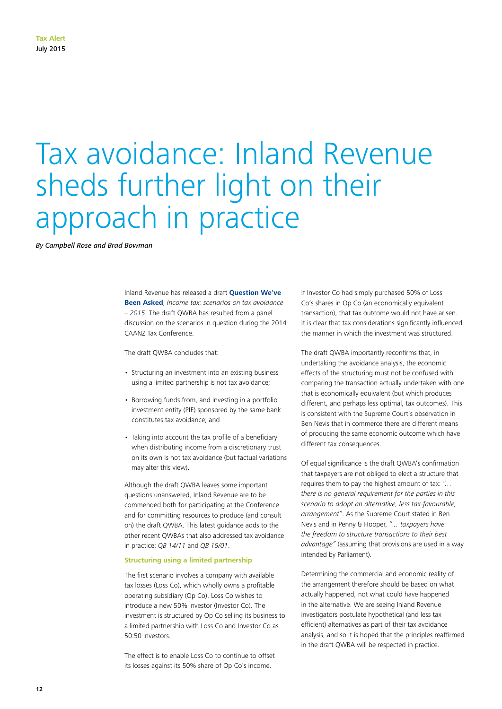# Tax avoidance: Inland Revenue sheds further light on their approach in practice

*By Campbell Rose and Brad Bowman*

Inland Revenue has released a draft **[Question We've](http://www.ird.govt.nz/resources/c/3/c3e03c38-820c-4631-909c-c25170e067d7/pub00236.pdf)  [Been Asked](http://www.ird.govt.nz/resources/c/3/c3e03c38-820c-4631-909c-c25170e067d7/pub00236.pdf)**, *Income tax: scenarios on tax avoidance – 2015*. The draft QWBA has resulted from a panel discussion on the scenarios in question during the 2014 CAANZ Tax Conference.

The draft QWBA concludes that:

- Structuring an investment into an existing business using a limited partnership is not tax avoidance;
- Borrowing funds from, and investing in a portfolio investment entity (PIE) sponsored by the same bank constitutes tax avoidance; and
- Taking into account the tax profile of a beneficiary when distributing income from a discretionary trust on its own is not tax avoidance (but factual variations may alter this view).

Although the draft QWBA leaves some important questions unanswered, Inland Revenue are to be commended both for participating at the Conference and for committing resources to produce (and consult on) the draft QWBA. This latest guidance adds to the other recent QWBAs that also addressed tax avoidance in practice: *QB 14/11* and *QB 15/01*.

# **Structuring using a limited partnership**

The first scenario involves a company with available tax losses (Loss Co), which wholly owns a profitable operating subsidiary (Op Co). Loss Co wishes to introduce a new 50% investor (Investor Co). The investment is structured by Op Co selling its business to a limited partnership with Loss Co and Investor Co as 50:50 investors.

The effect is to enable Loss Co to continue to offset its losses against its 50% share of Op Co's income.

If Investor Co had simply purchased 50% of Loss Co's shares in Op Co (an economically equivalent transaction), that tax outcome would not have arisen. It is clear that tax considerations significantly influenced the manner in which the investment was structured.

The draft QWBA importantly reconfirms that, in undertaking the avoidance analysis, the economic effects of the structuring must not be confused with comparing the transaction actually undertaken with one that is economically equivalent (but which produces different, and perhaps less optimal, tax outcomes). This is consistent with the Supreme Court's observation in Ben Nevis that in commerce there are different means of producing the same economic outcome which have different tax consequences.

Of equal significance is the draft QWBA's confirmation that taxpayers are not obliged to elect a structure that requires them to pay the highest amount of tax: *"… there is no general requirement for the parties in this scenario to adopt an alternative, less tax-favourable, arrangement"*. As the Supreme Court stated in Ben Nevis and in Penny & Hooper, *"… taxpayers have the freedom to structure transactions to their best advantage"* (assuming that provisions are used in a way intended by Parliament).

Determining the commercial and economic reality of the arrangement therefore should be based on what actually happened, not what could have happened in the alternative. We are seeing Inland Revenue investigators postulate hypothetical (and less tax efficient) alternatives as part of their tax avoidance analysis, and so it is hoped that the principles reaffirmed in the draft QWBA will be respected in practice.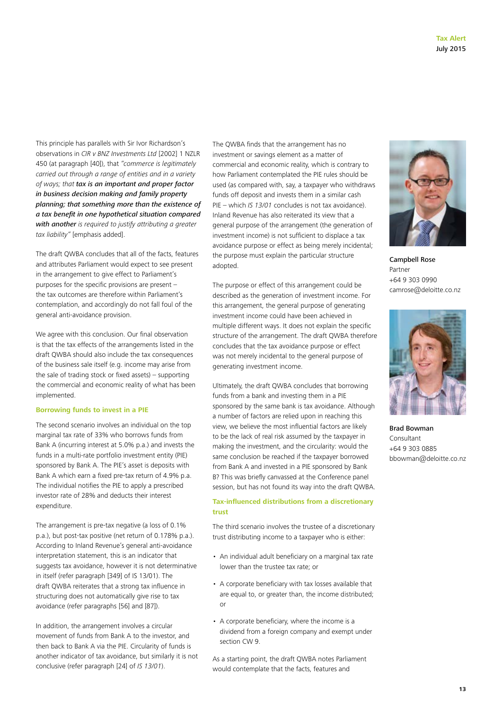This principle has parallels with Sir Ivor Richardson's observations in *CIR v BNZ Investments Ltd* [2002] 1 NZLR 450 (at paragraph [40]), that *"commerce is legitimately carried out through a range of entities and in a variety of ways; that tax is an important and proper factor in business decision making and family property planning; that something more than the existence of a tax benefit in one hypothetical situation compared with another is required to justify attributing a greater tax liability"* [emphasis added].

The draft QWBA concludes that all of the facts, features and attributes Parliament would expect to see present in the arrangement to give effect to Parliament's purposes for the specific provisions are present – the tax outcomes are therefore within Parliament's contemplation, and accordingly do not fall foul of the general anti-avoidance provision.

We agree with this conclusion. Our final observation is that the tax effects of the arrangements listed in the draft QWBA should also include the tax consequences of the business sale itself (e.g. income may arise from the sale of trading stock or fixed assets) – supporting the commercial and economic reality of what has been implemented.

# **Borrowing funds to invest in a PIE**

The second scenario involves an individual on the top marginal tax rate of 33% who borrows funds from Bank A (incurring interest at 5.0% p.a.) and invests the funds in a multi-rate portfolio investment entity (PIE) sponsored by Bank A. The PIE's asset is deposits with Bank A which earn a fixed pre-tax return of 4.9% p.a. The individual notifies the PIE to apply a prescribed investor rate of 28% and deducts their interest expenditure.

The arrangement is pre-tax negative (a loss of 0.1% p.a.), but post-tax positive (net return of 0.178% p.a.). According to Inland Revenue's general anti-avoidance interpretation statement, this is an indicator that suggests tax avoidance, however it is not determinative in itself (refer paragraph [349] of IS 13/01). The draft QWBA reiterates that a strong tax influence in structuring does not automatically give rise to tax avoidance (refer paragraphs [56] and [87]).

In addition, the arrangement involves a circular movement of funds from Bank A to the investor, and then back to Bank A via the PIE. Circularity of funds is another indicator of tax avoidance, but similarly it is not conclusive (refer paragraph [24] of *IS 13/01*).

The QWBA finds that the arrangement has no investment or savings element as a matter of commercial and economic reality, which is contrary to how Parliament contemplated the PIE rules should be used (as compared with, say, a taxpayer who withdraws funds off deposit and invests them in a similar cash PIE – which *IS 13/01* concludes is not tax avoidance). Inland Revenue has also reiterated its view that a general purpose of the arrangement (the generation of investment income) is not sufficient to displace a tax avoidance purpose or effect as being merely incidental; the purpose must explain the particular structure adopted.

The purpose or effect of this arrangement could be described as the generation of investment income. For this arrangement, the general purpose of generating investment income could have been achieved in multiple different ways. It does not explain the specific structure of the arrangement. The draft QWBA therefore concludes that the tax avoidance purpose or effect was not merely incidental to the general purpose of generating investment income.

Ultimately, the draft QWBA concludes that borrowing funds from a bank and investing them in a PIE sponsored by the same bank is tax avoidance. Although a number of factors are relied upon in reaching this view, we believe the most influential factors are likely to be the lack of real risk assumed by the taxpayer in making the investment, and the circularity: would the same conclusion be reached if the taxpayer borrowed from Bank A and invested in a PIE sponsored by Bank B? This was briefly canvassed at the Conference panel session, but has not found its way into the draft QWBA.

# **Tax-influenced distributions from a discretionary trust**

The third scenario involves the trustee of a discretionary trust distributing income to a taxpayer who is either:

- An individual adult beneficiary on a marginal tax rate lower than the trustee tax rate; or
- A corporate beneficiary with tax losses available that are equal to, or greater than, the income distributed; or
- A corporate beneficiary, where the income is a dividend from a foreign company and exempt under section CW 9.

As a starting point, the draft QWBA notes Parliament would contemplate that the facts, features and



Campbell Rose Partner +64 9 303 0990 camrose@deloitte.co.nz



Brad Bowman Consultant +64 9 303 0885 bbowman@deloitte.co.nz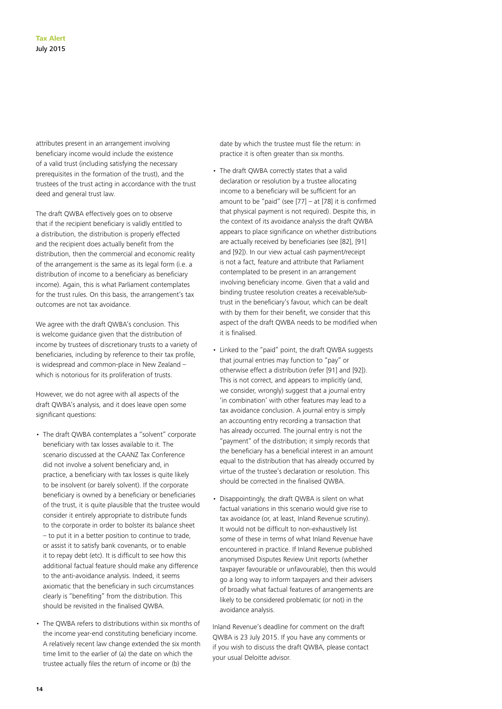attributes present in an arrangement involving beneficiary income would include the existence of a valid trust (including satisfying the necessary prerequisites in the formation of the trust), and the trustees of the trust acting in accordance with the trust deed and general trust law.

The draft QWBA effectively goes on to observe that if the recipient beneficiary is validly entitled to a distribution, the distribution is properly effected and the recipient does actually benefit from the distribution, then the commercial and economic reality of the arrangement is the same as its legal form (i.e. a distribution of income to a beneficiary as beneficiary income). Again, this is what Parliament contemplates for the trust rules. On this basis, the arrangement's tax outcomes are not tax avoidance.

We agree with the draft QWBA's conclusion. This is welcome guidance given that the distribution of income by trustees of discretionary trusts to a variety of beneficiaries, including by reference to their tax profile, is widespread and common-place in New Zealand – which is notorious for its proliferation of trusts.

However, we do not agree with all aspects of the draft QWBA's analysis, and it does leave open some significant questions:

- The draft QWBA contemplates a "solvent" corporate beneficiary with tax losses available to it. The scenario discussed at the CAANZ Tax Conference did not involve a solvent beneficiary and, in practice, a beneficiary with tax losses is quite likely to be insolvent (or barely solvent). If the corporate beneficiary is owned by a beneficiary or beneficiaries of the trust, it is quite plausible that the trustee would consider it entirely appropriate to distribute funds to the corporate in order to bolster its balance sheet – to put it in a better position to continue to trade, or assist it to satisfy bank covenants, or to enable it to repay debt (etc). It is difficult to see how this additional factual feature should make any difference to the anti-avoidance analysis. Indeed, it seems axiomatic that the beneficiary in such circumstances clearly is "benefiting" from the distribution. This should be revisited in the finalised QWBA.
- The QWBA refers to distributions within six months of the income year-end constituting beneficiary income. A relatively recent law change extended the six month time limit to the earlier of (a) the date on which the trustee actually files the return of income or (b) the

date by which the trustee must file the return: in practice it is often greater than six months.

- The draft QWBA correctly states that a valid declaration or resolution by a trustee allocating income to a beneficiary will be sufficient for an amount to be "paid" (see  $[77]$  – at  $[78]$  it is confirmed that physical payment is not required). Despite this, in the context of its avoidance analysis the draft QWBA appears to place significance on whether distributions are actually received by beneficiaries (see [82], [91] and [92]). In our view actual cash payment/receipt is not a fact, feature and attribute that Parliament contemplated to be present in an arrangement involving beneficiary income. Given that a valid and binding trustee resolution creates a receivable/subtrust in the beneficiary's favour, which can be dealt with by them for their benefit, we consider that this aspect of the draft QWBA needs to be modified when it is finalised.
- Linked to the "paid" point, the draft QWBA suggests that journal entries may function to "pay" or otherwise effect a distribution (refer [91] and [92]). This is not correct, and appears to implicitly (and, we consider, wrongly) suggest that a journal entry 'in combination' with other features may lead to a tax avoidance conclusion. A journal entry is simply an accounting entry recording a transaction that has already occurred. The journal entry is not the "payment" of the distribution; it simply records that the beneficiary has a beneficial interest in an amount equal to the distribution that has already occurred by virtue of the trustee's declaration or resolution. This should be corrected in the finalised QWBA.
- Disappointingly, the draft QWBA is silent on what factual variations in this scenario would give rise to tax avoidance (or, at least, Inland Revenue scrutiny). It would not be difficult to non-exhaustively list some of these in terms of what Inland Revenue have encountered in practice. If Inland Revenue published anonymised Disputes Review Unit reports (whether taxpayer favourable or unfavourable), then this would go a long way to inform taxpayers and their advisers of broadly what factual features of arrangements are likely to be considered problematic (or not) in the avoidance analysis.

Inland Revenue's deadline for comment on the draft QWBA is 23 July 2015. If you have any comments or if you wish to discuss the draft QWBA, please contact your usual Deloitte advisor.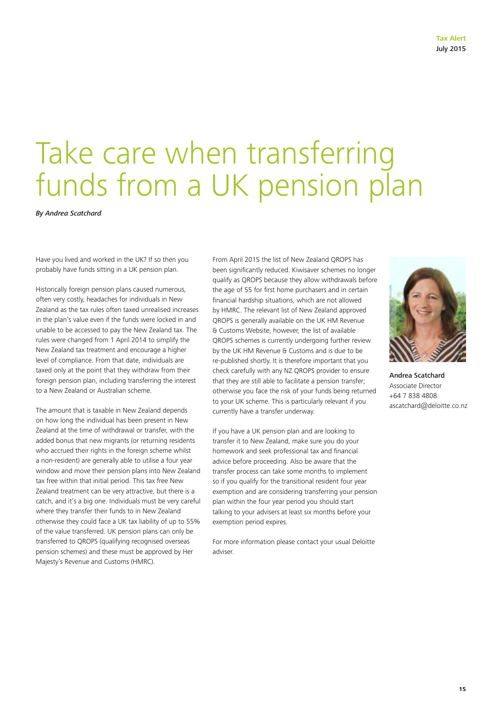# Take care when transferring funds from a UK pension plan

*By Andrea Scatchard*

Have you lived and worked in the UK? If so then you probably have funds sitting in a UK pension plan.

Historically foreign pension plans caused numerous, often very costly, headaches for individuals in New Zealand as the tax rules often taxed unrealised increases in the plan's value even if the funds were locked in and unable to be accessed to pay the New Zealand tax. The rules were changed from 1 April 2014 to simplify the New Zealand tax treatment and encourage a higher level of compliance. From that date, individuals are taxed only at the point that they withdraw from their foreign pension plan, including transferring the interest to a New Zealand or Australian scheme.

The amount that is taxable in New Zealand depends on how long the individual has been present in New Zealand at the time of withdrawal or transfer, with the added bonus that new migrants (or returning residents who accrued their rights in the foreign scheme whilst a non-resident) are generally able to utilise a four year window and move their pension plans into New Zealand tax free within that initial period. This tax free New Zealand treatment can be very attractive, but there is a catch, and it's a big one. Individuals must be very careful where they transfer their funds to in New Zealand otherwise they could face a UK tax liability of up to 55% of the value transferred. UK pension plans can only be transferred to QROPS (qualifying recognised overseas pension schemes) and these must be approved by Her Majesty's Revenue and Customs (HMRC).

From April 2015 the list of New Zealand QROPS has been significantly reduced. Kiwisaver schemes no longer qualify as QROPS because they allow withdrawals before the age of 55 for first home purchasers and in certain financial hardship situations, which are not allowed by HMRC. The relevant list of New Zealand approved QROPS is generally available on the UK HM Revenue & Customs Website, however, the list of available QROPS schemes is currently undergoing further review by the UK HM Revenue & Customs and is due to be re-published shortly. It is therefore important that you check carefully with any NZ QROPS provider to ensure that they are still able to facilitate a pension transfer; otherwise you face the risk of your funds being returned to your UK scheme. This is particularly relevant if you currently have a transfer underway.

If you have a UK pension plan and are looking to transfer it to New Zealand, make sure you do your homework and seek professional tax and financial advice before proceeding. Also be aware that the transfer process can take some months to implement so if you qualify for the transitional resident four year exemption and are considering transferring your pension plan within the four year period you should start talking to your advisers at least six months before your exemption period expires.

For more information please contact your usual Deloitte adviser.



Andrea Scatchard Associate Director +64 7 838 4808 ascatchard@deloitte.co.nz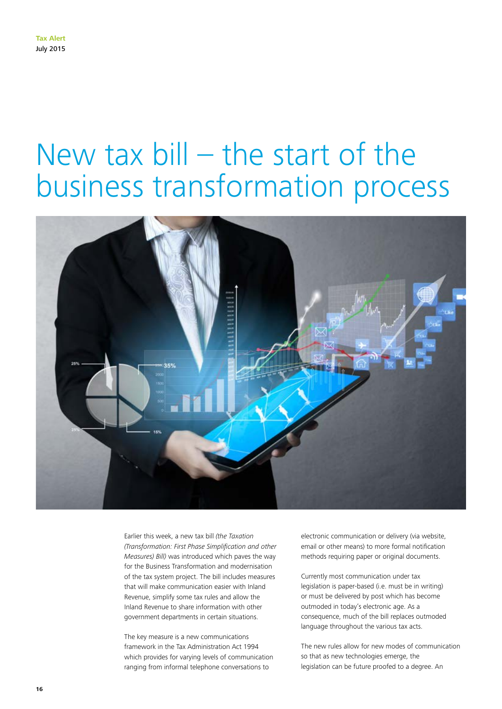# New tax bill – the start of the business transformation process



Earlier this week, a new tax bill *(the Taxation (Transformation: First Phase Simplification and other Measures) Bill)* was introduced which paves the way for the Business Transformation and modernisation of the tax system project. The bill includes measures that will make communication easier with Inland Revenue, simplify some tax rules and allow the Inland Revenue to share information with other government departments in certain situations.

The key measure is a new communications framework in the Tax Administration Act 1994 which provides for varying levels of communication ranging from informal telephone conversations to

electronic communication or delivery (via website, email or other means) to more formal notification methods requiring paper or original documents.

Currently most communication under tax legislation is paper-based (i.e. must be in writing) or must be delivered by post which has become outmoded in today's electronic age. As a consequence, much of the bill replaces outmoded language throughout the various tax acts.

The new rules allow for new modes of communication so that as new technologies emerge, the legislation can be future proofed to a degree. An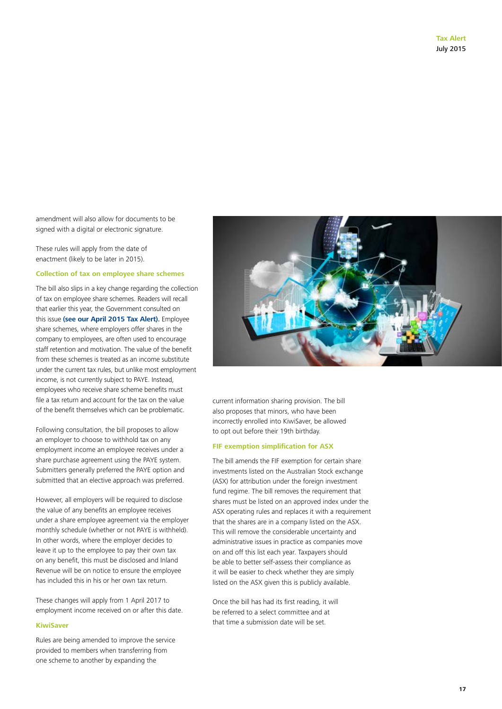amendment will also allow for documents to be signed with a digital or electronic signature.

These rules will apply from the date of enactment (likely to be later in 2015).

### **Collection of tax on employee share schemes**

The bill also slips in a key change regarding the collection of tax on employee share schemes. Readers will recall that earlier this year, the Government consulted on this issue **[\(see our April 2015 Tax Alert\).](http://www2.deloitte.com/nz/en/pages/tax-alerts/articles/collection-of-tax-on-employee-share-schemes-examined.html)** Employee share schemes, where employers offer shares in the company to employees, are often used to encourage staff retention and motivation. The value of the benefit from these schemes is treated as an income substitute under the current tax rules, but unlike most employment income, is not currently subject to PAYE. Instead, employees who receive share scheme benefits must file a tax return and account for the tax on the value of the benefit themselves which can be problematic.

Following consultation, the bill proposes to allow an employer to choose to withhold tax on any employment income an employee receives under a share purchase agreement using the PAYE system. Submitters generally preferred the PAYE option and submitted that an elective approach was preferred.

However, all employers will be required to disclose the value of any benefits an employee receives under a share employee agreement via the employer monthly schedule (whether or not PAYE is withheld). In other words, where the employer decides to leave it up to the employee to pay their own tax on any benefit, this must be disclosed and Inland Revenue will be on notice to ensure the employee has included this in his or her own tax return.

These changes will apply from 1 April 2017 to employment income received on or after this date.

# **KiwiSaver**

Rules are being amended to improve the service provided to members when transferring from one scheme to another by expanding the



current information sharing provision. The bill also proposes that minors, who have been incorrectly enrolled into KiwiSaver, be allowed to opt out before their 19th birthday.

#### **FIF exemption simplification for ASX**

The bill amends the FIF exemption for certain share investments listed on the Australian Stock exchange (ASX) for attribution under the foreign investment fund regime. The bill removes the requirement that shares must be listed on an approved index under the ASX operating rules and replaces it with a requirement that the shares are in a company listed on the ASX. This will remove the considerable uncertainty and administrative issues in practice as companies move on and off this list each year. Taxpayers should be able to better self-assess their compliance as it will be easier to check whether they are simply listed on the ASX given this is publicly available.

Once the bill has had its first reading, it will be referred to a select committee and at that time a submission date will be set.